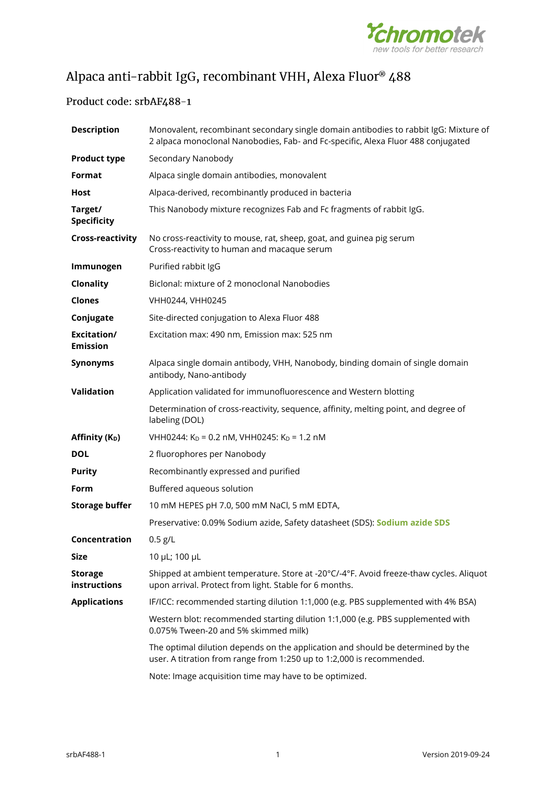

# Alpaca anti-rabbit IgG, recombinant VHH, Alexa Fluor® 488

## Product code: srbAF488-1

| <b>Description</b>             | Monovalent, recombinant secondary single domain antibodies to rabbit IgG: Mixture of<br>2 alpaca monoclonal Nanobodies, Fab- and Fc-specific, Alexa Fluor 488 conjugated |
|--------------------------------|--------------------------------------------------------------------------------------------------------------------------------------------------------------------------|
| <b>Product type</b>            | Secondary Nanobody                                                                                                                                                       |
| Format                         | Alpaca single domain antibodies, monovalent                                                                                                                              |
| Host                           | Alpaca-derived, recombinantly produced in bacteria                                                                                                                       |
| Target/<br><b>Specificity</b>  | This Nanobody mixture recognizes Fab and Fc fragments of rabbit IgG.                                                                                                     |
| <b>Cross-reactivity</b>        | No cross-reactivity to mouse, rat, sheep, goat, and guinea pig serum<br>Cross-reactivity to human and macaque serum                                                      |
| Immunogen                      | Purified rabbit IgG                                                                                                                                                      |
| Clonality                      | Biclonal: mixture of 2 monoclonal Nanobodies                                                                                                                             |
| <b>Clones</b>                  | VHH0244, VHH0245                                                                                                                                                         |
| Conjugate                      | Site-directed conjugation to Alexa Fluor 488                                                                                                                             |
| Excitation/<br><b>Emission</b> | Excitation max: 490 nm, Emission max: 525 nm                                                                                                                             |
| <b>Synonyms</b>                | Alpaca single domain antibody, VHH, Nanobody, binding domain of single domain<br>antibody, Nano-antibody                                                                 |
| Validation                     | Application validated for immunofluorescence and Western blotting                                                                                                        |
|                                | Determination of cross-reactivity, sequence, affinity, melting point, and degree of<br>labeling (DOL)                                                                    |
| Affinity (K <sub>D</sub> )     | VHH0244: K <sub>D</sub> = 0.2 nM, VHH0245: K <sub>D</sub> = 1.2 nM                                                                                                       |
| <b>DOL</b>                     | 2 fluorophores per Nanobody                                                                                                                                              |
| <b>Purity</b>                  | Recombinantly expressed and purified                                                                                                                                     |
| Form                           | Buffered aqueous solution                                                                                                                                                |
| <b>Storage buffer</b>          | 10 mM HEPES pH 7.0, 500 mM NaCl, 5 mM EDTA,                                                                                                                              |
|                                | Preservative: 0.09% Sodium azide, Safety datasheet (SDS): Sodium azide SDS                                                                                               |
| Concentration                  | $0.5$ g/L                                                                                                                                                                |
| <b>Size</b>                    | 10 µL; 100 µL                                                                                                                                                            |
| <b>Storage</b><br>instructions | Shipped at ambient temperature. Store at -20°C/-4°F. Avoid freeze-thaw cycles. Aliquot<br>upon arrival. Protect from light. Stable for 6 months.                         |
| <b>Applications</b>            | IF/ICC: recommended starting dilution 1:1,000 (e.g. PBS supplemented with 4% BSA)                                                                                        |
|                                | Western blot: recommended starting dilution 1:1,000 (e.g. PBS supplemented with<br>0.075% Tween-20 and 5% skimmed milk)                                                  |
|                                | The optimal dilution depends on the application and should be determined by the<br>user. A titration from range from 1:250 up to 1:2,000 is recommended.                 |
|                                | Note: Image acquisition time may have to be optimized.                                                                                                                   |